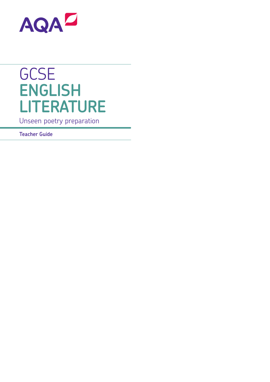

# **GCSE ENGLISH LITERATURE**

Unseen poetry preparation

**Teacher Guide**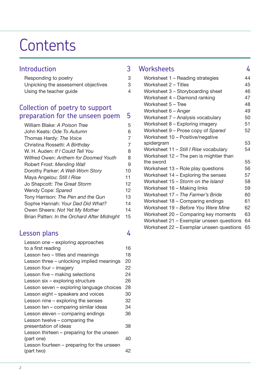# **Contents**

# Introduction 3

| Responding to poetry                | 3 |
|-------------------------------------|---|
| Unpicking the assessment objectives | З |
| Using the teacher guide             |   |

#### Collection of poetry to support preparation for the unseen poem 5

| William Blake: A Poison Tree                | 5  |
|---------------------------------------------|----|
| John Keats: Ode To Autumn                   | 6  |
| Thomas Hardy: The Voice                     | 7  |
| Christina Rossetti: A Birthday              | 7  |
| W. H. Auden: If I Could Tell You            | 8  |
| Wilfred Owen: Anthem for Doomed Youth       | 8  |
| Robert Frost: Mending Wall                  | 9  |
| Dorothy Parker: A Well-Worn Story           | 10 |
| Maya Angelou: Still I Rise                  | 11 |
| Jo Shapcott: The Great Storm                | 12 |
| Wendy Cope: Spared                          | 12 |
| Tony Harrison: The Pen and the Gun          | 13 |
| Sophie Hannah: Your Dad Did What?           | 14 |
| Owen Sheers: Not Yet My Mother              | 14 |
| Brian Patten: In the Orchard After Midnight | 15 |
|                                             |    |

## Lesson plans 4

| Lesson one - exploring approaches          |    |
|--------------------------------------------|----|
| to a first reading                         | 16 |
| Lesson two – titles and meanings           | 18 |
| Lesson three – unlocking implied meanings  | 20 |
| Lesson four – imagery                      | 22 |
| Lesson five – making selections            | 24 |
| Lesson six - exploring structure           | 26 |
| Lesson seven – exploring language choices  | 28 |
| Lesson eight – speakers and voices         | 30 |
| Lesson nine – exploring the senses         | 32 |
| Lesson ten – comparing similar ideas       | 34 |
| Lesson eleven – comparing endings          | 36 |
| Lesson twelve – comparing the              |    |
| presentation of ideas                      | 38 |
| Lesson thirteen – preparing for the unseen |    |
| (part one)                                 | 40 |
| Lesson fourteen – preparing for the unseen |    |
| (part two)                                 | 42 |
|                                            |    |

## Worksheets 4

| Worksheet 1 – Reading strategies         | 44 |
|------------------------------------------|----|
| Worksheet 2 - Titles                     | 45 |
| Worksheet 3 - Storyboarding sheet        | 46 |
| Worksheet 4 – Diamond ranking            | 47 |
| Worksheet 5 - Tree                       | 48 |
| Worksheet 6 - Anger                      | 49 |
| Worksheet 7 - Analysis vocabulary        | 50 |
| Worksheet 8 - Exploring imagery          | 51 |
| Worksheet 9 - Prose copy of Spared       | 52 |
| Worksheet 10 - Positive/negative         |    |
| spidergram                               | 53 |
| Worksheet 11 - Still I Rise vocabulary   | 54 |
| Worksheet 12 - The pen is mightier than  |    |
| the sword                                | 55 |
| Worksheet 13 – Role play questions       | 56 |
| Worksheet 14 – Exploring the senses      | 57 |
| Worksheet 15 - Storm on the Island       | 58 |
| Worksheet 16 - Making links              | 59 |
| Worksheet 17 - The Farmer's Bride        | 60 |
| Worksheet 18 - Comparing endings         | 61 |
| Worksheet 19 - Before You Were Mine      | 62 |
| Worksheet 20 - Comparing key moments     | 63 |
| Worksheet 21 – Exemplar unseen questions | 64 |
| Worksheet 22 - Exemplar unseen questions | 65 |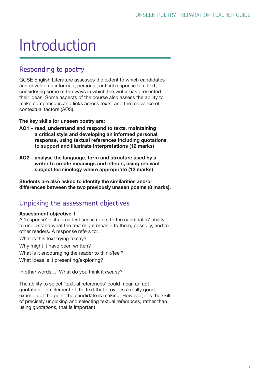# Introduction

#### Responding to poetry

GCSE English Literature assesses the extent to which candidates can develop an informed, personal, critical response to a text, considering some of the ways in which the writer has presented their ideas. Some aspects of the course also assess the ability to make comparisons and links across texts, and the relevance of contextual factors (AO3).

The key skills for unseen poetry are:

- AO1 read, understand and respond to texts, maintaining a critical style and developing an informed personal response, using textual references including quotations to support and illustrate interpretations (12 marks)
- AO2 analyse the language, form and structure used by a writer to create meanings and effects, using relevant subject terminology where appropriate (12 marks)

Students are also asked to identify the similarities and/or differences between the two previously unseen poems (8 marks).

# Unpicking the assessment objectives

#### Assessment objective 1

A 'response' in its broadest sense refers to the candidates' ability to understand what the text might mean – to them, possibly, and to other readers. A response refers to:

What is this text trying to say?

Why might it have been written?

What is it encouraging the reader to think/feel?

What ideas is it presenting/exploring?

In other words…. What do you think it *means*?

The ability to select 'textual references' could mean an apt quotation – an element of the text that provides a really good example of the point the candidate is making. However, it is the skill of precisely unpicking and selecting textual *references*, rather than using *quotations*, that is important.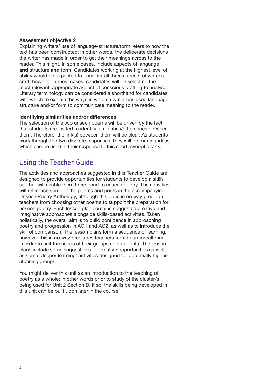#### Assessment objective 2

Explaining writers' use of language/structure/form refers to how the text has been constructed; in other words, the deliberate decisions the writer has made in order to get their meanings across to the reader. This might, in some cases, include aspects of language and structure and form. Candidates working at the highest level of ability would be expected to consider all three aspects of writer's craft; however in most cases, candidates will be selecting the most relevant, appropriate aspect of conscious crafting to analyse. Literary terminology can be considered a shorthand for candidates with which to explain the ways in which a writer has used language. structure and/or form to communicate meaning to the reader.

#### Identifying similarities and/or differences

The selection of the two unseen poems will be driven by the fact that students are invited to identify similarities/differences between them. Therefore, the link(s) between them will be clear. As students work through the two discrete responses, they will be forming ideas which can be used in their response to this short, synoptic task.

#### Using the Teacher Guide

The activities and approaches suggested in this Teacher Guide are designed to provide opportunities for students to develop a skills set that will enable them to respond to unseen poetry. The activities will reference some of the poems and poets in the accompanying Unseen Poetry Anthology, although this does in no way preclude teachers from choosing other poems to support the preparation for unseen poetry. Each lesson plan contains suggested creative and imaginative approaches alongside skills-based activities. Taken holistically, the overall aim is to build confidence in approaching poetry and progression in AO1 and AO2, as well as to introduce the skill of comparison. The lesson plans form a sequence of learning, however this in no way precludes teachers from adapting/altering in order to suit the needs of their groups and students. The lesson plans include some suggestions for creative opportunities as well as some 'deeper learning' activities designed for potentially higherattaining groups.

You might deliver this unit as an introduction to the teaching of poetry as a whole; in other words prior to study of the cluster/s being used for Unit 2 Section B. If so, the skills being developed in this unit can be built upon later in the course.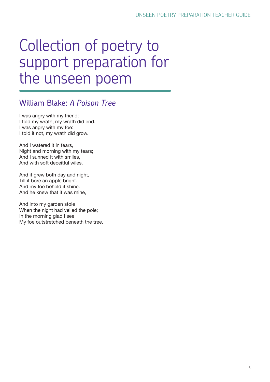# Collection of poetry to support preparation for the unseen poem

# William Blake: *A Poison Tree*

I was angry with my friend: I told my wrath, my wrath did end. I was angry with my foe: I told it not, my wrath did grow.

And I watered it in fears, Night and morning with my tears; And I sunned it with smiles, And with soft deceitful wiles.

And it grew both day and night, Till it bore an apple bright. And my foe beheld it shine. And he knew that it was mine,

And into my garden stole When the night had veiled the pole; In the morning glad I see My foe outstretched beneath the tree.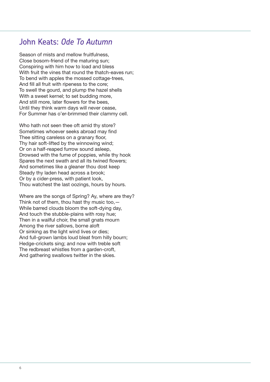#### John Keats: *Ode To Autumn*

Season of mists and mellow fruitfulness, Close bosom-friend of the maturing sun; Conspiring with him how to load and bless With fruit the vines that round the thatch-eaves run; To bend with apples the mossed cottage-trees, And fill all fruit with ripeness to the core; To swell the gourd, and plump the hazel shells With a sweet kernel; to set budding more, And still more, later flowers for the bees, Until they think warm days will never cease, For Summer has o'er-brimmed their clammy cell.

Who hath not seen thee oft amid thy store? Sometimes whoever seeks abroad may find Thee sitting careless on a granary floor. Thy hair soft-lifted by the winnowing wind; Or on a half-reaped furrow sound asleep, Drowsed with the fume of poppies, while thy hook Spares the next swath and all its twined flowers; And sometimes like a gleaner thou dost keep Steady thy laden head across a brook; Or by a cider-press, with patient look, Thou watchest the last oozings, hours by hours.

Where are the songs of Spring? Ay, where are they? Think not of them, thou hast thy music too,— While barred clouds bloom the soft-dying day, And touch the stubble-plains with rosy hue; Then in a wailful choir, the small gnats mourn Among the river sallows, borne aloft Or sinking as the light wind lives or dies; And full-grown lambs loud bleat from hilly bourn; Hedge-crickets sing; and now with treble soft The redbreast whistles from a garden-croft. And gathering swallows twitter in the skies.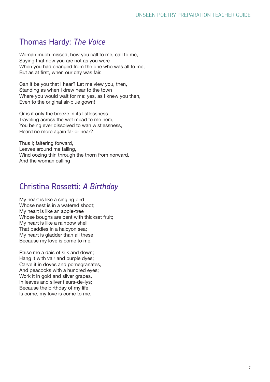## Thomas Hardy: *The Voice*

Woman much missed, how you call to me, call to me, Saying that now you are not as you were When you had changed from the one who was all to me, But as at first, when our day was fair.

Can it be you that I hear? Let me view you, then, Standing as when I drew near to the town Where you would wait for me: yes, as I knew you then, Even to the original air-blue gown!

Or is it only the breeze in its listlessness Traveling across the wet mead to me here, You being ever dissolved to wan wistlessness, Heard no more again far or near?

Thus I; faltering forward, Leaves around me falling, Wind oozing thin through the thorn from norward, And the woman calling

## Christina Rossetti: *A Birthday*

My heart is like a singing bird Whose nest is in a watered shoot: My heart is like an apple-tree Whose boughs are bent with thickset fruit; My heart is like a rainbow shell That paddles in a halcyon sea; My heart is gladder than all these Because my love is come to me.

Raise me a dais of silk and down; Hang it with vair and purple dyes; Carve it in doves and pomegranates, And peacocks with a hundred eyes; Work it in gold and silver grapes. In leaves and silver fleurs-de-lys; Because the birthday of my life Is come, my love is come to me.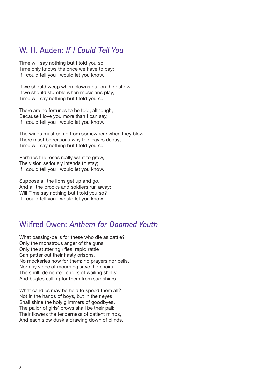# W. H. Auden: *If I Could Tell You*

Time will say nothing but I told you so, Time only knows the price we have to pay; If I could tell you I would let you know.

If we should weep when clowns put on their show, If we should stumble when musicians play, Time will say nothing but I told you so.

There are no fortunes to be told, although, Because I love you more than I can say, If I could tell you I would let you know.

The winds must come from somewhere when they blow, There must be reasons why the leaves decay; Time will say nothing but I told you so.

Perhaps the roses really want to grow, The vision seriously intends to stay; If I could tell you I would let you know.

Suppose all the lions get up and go, And all the brooks and soldiers run away; Will Time say nothing but I told you so? If I could tell you I would let you know.

# Wilfred Owen: *Anthem for Doomed Youth*

What passing-bells for these who die as cattle? Only the monstrous anger of the guns. Only the stuttering rifles' rapid rattle Can patter out their hasty orisons. No mockeries now for them; no prayers nor bells, Nor any voice of mourning save the choirs, — The shrill, demented choirs of wailing shells; And bugles calling for them from sad shires.

What candles may be held to speed them all? Not in the hands of boys, but in their eyes Shall shine the holy glimmers of goodbyes. The pallor of girls' brows shall be their pall; Their flowers the tenderness of patient minds, And each slow dusk a drawing down of blinds.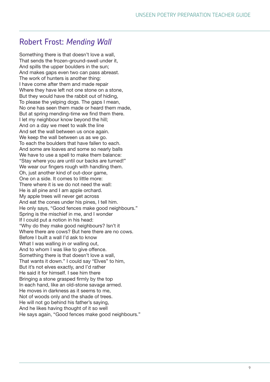## Robert Frost: *Mending Wall*

Something there is that doesn't love a wall, That sends the frozen-ground-swell under it, And spills the upper boulders in the sun; And makes gaps even two can pass abreast. The work of hunters is another thing: I have come after them and made repair Where they have left not one stone on a stone, But they would have the rabbit out of hiding, To please the yelping dogs. The gaps I mean, No one has seen them made or heard them made, But at spring mending-time we find them there. I let my neighbour know beyond the hill; And on a day we meet to walk the line And set the wall between us once again. We keep the wall between us as we go. To each the boulders that have fallen to each. And some are loaves and some so nearly balls We have to use a spell to make them balance: "Stay where you are until our backs are turned!" We wear our fingers rough with handling them. Oh, just another kind of out-door game, One on a side. It comes to little more: There where it is we do not need the wall: He is all pine and I am apple orchard. My apple trees will never get across And eat the cones under his pines, I tell him. He only says, "Good fences make good neighbours." Spring is the mischief in me, and I wonder If I could put a notion in his head: "Why do they make good neighbours? Isn't it Where there are cows? But here there are no cows. Before I built a wall I'd ask to know What I was walling in or walling out, And to whom I was like to give offence. Something there is that doesn't love a wall, That wants it down." I could say "Elves" to him, But it's not elves exactly, and I'd rather He said it for himself. I see him there Bringing a stone grasped firmly by the top In each hand, like an old-stone savage armed. He moves in darkness as it seems to me, Not of woods only and the shade of trees. He will not go behind his father's saying. And he likes having thought of it so well He says again, "Good fences make good neighbours."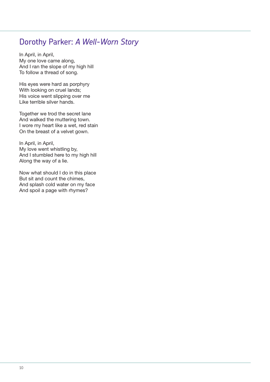# Dorothy Parker: *A Well-Worn Story*

In April, in April, My one love came along, And I ran the slope of my high hill To follow a thread of song.

His eyes were hard as porphyry With looking on cruel lands; His voice went slipping over me Like terrible silver hands.

Together we trod the secret lane And walked the muttering town. I wore my heart like a wet, red stain On the breast of a velvet gown.

In April, in April, My love went whistling by, And I stumbled here to my high hill Along the way of a lie.

Now what should I do in this place But sit and count the chimes, And splash cold water on my face And spoil a page with rhymes?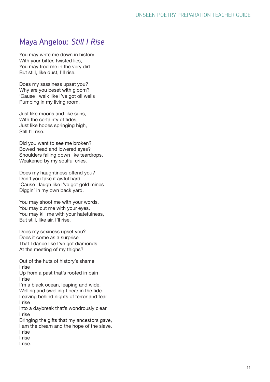## Maya Angelou: *Still I Rise*

You may write me down in history With your bitter, twisted lies, You may trod me in the very dirt But still, like dust, I'll rise.

Does my sassiness upset you? Why are you beset with gloom? 'Cause I walk like I've got oil wells Pumping in my living room.

Just like moons and like suns, With the certainty of tides, Just like hopes springing high, Still I'll rise.

Did you want to see me broken? Bowed head and lowered eyes? Shoulders falling down like teardrops. Weakened by my soulful cries.

Does my haughtiness offend you? Don't you take it awful hard 'Cause I laugh like I've got gold mines Diggin' in my own back yard.

You may shoot me with your words, You may cut me with your eyes, You may kill me with your hatefulness, But still, like air, I'll rise.

Does my sexiness upset you? Does it come as a surprise That I dance like I've got diamonds At the meeting of my thighs?

Out of the huts of history's shame I rise

Up from a past that's rooted in pain I rise

I'm a black ocean, leaping and wide,

Welling and swelling I bear in the tide. Leaving behind nights of terror and fear I rise

Into a daybreak that's wondrously clear I rise

Bringing the gifts that my ancestors gave,

I am the dream and the hope of the slave.

I rise

I rise

I rise.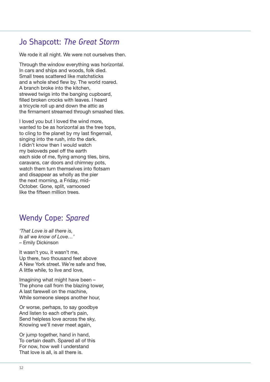# Jo Shapcott: *The Great Storm*

We rode it all night. We were not ourselves then.

Through the window everything was horizontal. In cars and ships and woods, folk died. Small trees scattered like matchsticks and a whole shed flew by. The world roared. A branch broke into the kitchen, strewed twigs into the banging cupboard. filled broken crocks with leaves. I heard a tricycle roll up and down the attic as the firmament streamed through smashed tiles.

I loved you but I loved the wind more, wanted to be as horizontal as the tree tops, to cling to the planet by my last fingernail, singing into the rush, into the dark. I didn't know then I would watch my beloveds peel off the earth each side of me, flying among tiles, bins, caravans, car doors and chimney pots, watch them turn themselves into flotsam and disappear as wholly as the pier the next morning, a Friday, mid-October. Gone, split, vamoosed like the fifteen million trees.

## Wendy Cope: *Spared*

*'That Love is all there is, Is all we know of Love…'* – Emily Dickinson

It wasn't you, it wasn't me, Up there, two thousand feet above A New York street. We're safe and free, A little while, to live and love,

Imagining what might have been – The phone call from the blazing tower, A last farewell on the machine, While someone sleeps another hour,

Or worse, perhaps, to say goodbye And listen to each other's pain, Send helpless love across the sky, Knowing we'll never meet again,

Or jump together, hand in hand, To certain death. Spared all of this For now, how well I understand That love is all, is all there is.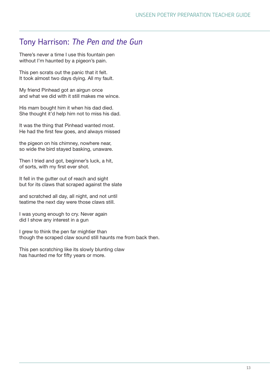## Tony Harrison: *The Pen and the Gun*

There's never a time I use this fountain pen without I'm haunted by a pigeon's pain.

This pen scrats out the panic that it felt. It took almost two days dying. All my fault.

My friend Pinhead got an airgun once and what we did with it still makes me wince.

His mam bought him it when his dad died. She thought it'd help him not to miss his dad.

It was the thing that Pinhead wanted most. He had the first few goes, and always missed

the pigeon on his chimney, nowhere near, so wide the bird stayed basking, unaware.

Then I tried and got, beginner's luck, a hit, of sorts, with my first ever shot.

It fell in the gutter out of reach and sight but for its claws that scraped against the slate

and scratched all day, all night, and not until teatime the next day were those claws still.

I was young enough to cry. Never again did I show any interest in a gun

I grew to think the pen far mightier than though the scraped claw sound still haunts me from back then.

This pen scratching like its slowly blunting claw has haunted me for fifty years or more.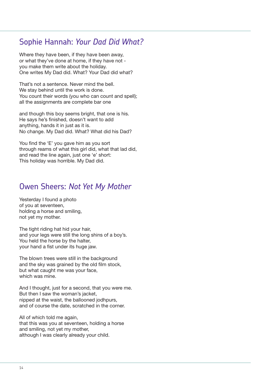# Sophie Hannah: *Your Dad Did What?*

Where they have been, if they have been away, or what they've done at home, if they have not you make them write about the holiday. One writes My Dad did. What? Your Dad did what?

That's not a sentence. Never mind the bell. We stay behind until the work is done. You count their words (you who can count and spell); all the assignments are complete bar one

and though this boy seems bright, that one is his. He says he's finished, doesn't want to add anything, hands it in just as it is. No change. My Dad did. What? What did his Dad?

You find the 'E' you gave him as you sort through reams of what this girl did, what that lad did, and read the line again, just one 'e' short: This holiday was horrible. My Dad did.

# Owen Sheers: *Not Yet My Mother*

Yesterday I found a photo of you at seventeen, holding a horse and smiling, not yet my mother.

The tight riding hat hid your hair. and your legs were still the long shins of a boy's. You held the horse by the halter, your hand a fist under its huge jaw.

The blown trees were still in the background and the sky was grained by the old film stock, but what caught me was your face, which was mine.

And I thought, just for a second, that you were me. But then I saw the woman's jacket, nipped at the waist, the ballooned jodhpurs, and of course the date, scratched in the corner.

All of which told me again, that this was you at seventeen, holding a horse and smiling, not yet my mother, although I was clearly already your child.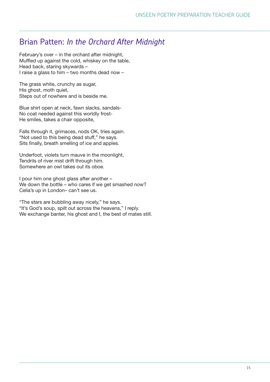# Brian Patten: *In the Orchard After Midnight*

February's over – in the orchard after midnight, Muffled up against the cold, whiskey on the table, Head back, staring skywards – I raise a glass to him – two months dead now –

The grass white, crunchy as sugar, His ghost, moth quiet, Steps out of nowhere and is beside me.

Blue shirt open at neck, fawn slacks, sandals-No coat needed against this worldly frost-He smiles, takes a chair opposite,

Falls through it, grimaces, nods OK, tries again. "Not used to this being dead stuff," he says. Sits finally, breath smelling of ice and apples.

Underfoot, violets turn mauve in the moonlight, Tendrils of river mist drift through him. Somewhere an owl takes out its oboe.

I pour him one ghost glass after another – We down the bottle – who cares if we get smashed now? Celia's up in London– can't see us.

"The stars are bubbling away nicely," he says. "It's God's soup, spilt out across the heavens," I reply. We exchange banter, his ghost and I, the best of mates still.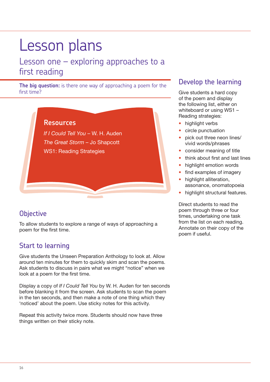# Lesson plans

# Lesson one – exploring approaches to a first reading

**The big question:** is there one way of approaching a poem for the first time?



#### **Objective**

To allow students to explore a range of ways of approaching a poem for the first time.

## Start to learning

Give students the Unseen Preparation Anthology to look at. Allow around ten minutes for them to quickly skim and scan the poems. Ask students to discuss in pairs what we might "notice" when we look at a poem for the first time.

Display a copy of *If I Could Tell You* by W. H. Auden for ten seconds before blanking it from the screen. Ask students to scan the poem in the ten seconds, and then make a note of one thing which they 'noticed' about the poem. Use sticky notes for this activity.

Repeat this activity twice more. Students should now have three things written on their sticky note.

## Develop the learning

Give students a hard copy of the poem and display the following list, either on whiteboard or using WS1 – Reading strategies:

- highlight verbs
- circle punctuation
- pick out three neon lines/ vivid words/phrases
- consider meaning of title
- think about first and last lines
- highlight emotion words
- find examples of imagery
- highlight alliteration, assonance, onomatopoeia
- highlight structural features.

Direct students to read the poem through three or four times, undertaking one task from the list on each reading. Annotate on their copy of the poem if useful.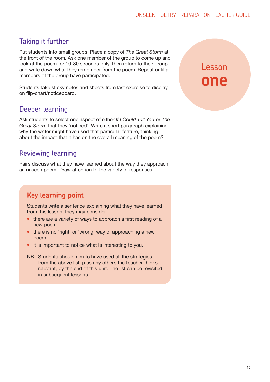#### Taking it further

Put students into small groups. Place a copy of *The Great Storm* at the front of the room. Ask one member of the group to come up and look at the poem for 10-30 seconds only, then return to their group and write down what they remember from the poem. Repeat until all members of the group have participated.

Students take sticky notes and sheets from last exercise to display on flip-chart/noticeboard.

#### Deeper learning

Ask students to select one aspect of either *If I Could Tell You* or *The Great Storm* that they 'noticed'. Write a short paragraph explaining why the writer might have used that particular feature, thinking about the impact that it has on the overall meaning of the poem?

#### Reviewing learning

Pairs discuss what they have learned about the way they approach an unseen poem. Draw attention to the variety of responses.

## **Key learning point**

Students write a sentence explaining what they have learned from this lesson: they may consider…

- there are a variety of ways to approach a first reading of a new poem
- there is no 'right' or 'wrong' way of approaching a new poem
- it is important to notice what is interesting to you.
- NB: Students should aim to have used all the strategies from the above list, plus any others the teacher thinks relevant, by the end of this unit. The list can be revisited in subsequent lessons.

Lesson **one**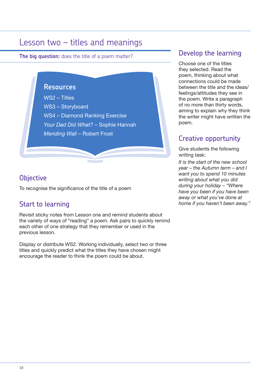# Lesson two – titles and meanings

**The big question:** does the title of a poem matter?

#### **Resources**

WS2 – Titles WS3 – Storyboard WS4 – Diamond Ranking Exercise *Your Dad Did What?* – Sophie Hannah *Mending Wall* – Robert Frost

#### **Objective**

To recognise the significance of the title of a poem

## Start to learning

Revisit sticky notes from Lesson one and remind students about the variety of ways of "reading" a poem. Ask pairs to quickly remind each other of one strategy that they remember or used in the previous lesson.

Display or distribute WS2. Working individually, select two or three titles and quickly predict what the titles they have chosen might encourage the reader to think the poem could be about.

#### Develop the learning

Choose one of the titles they selected. Read the poem, thinking about what connections could be made between the title and the ideas/ feelings/attitudes they see in the poem. Write a paragraph of no more than thirty words, aiming to explain why they think the writer might have written the poem.

#### Creative opportunity

Give students the following writing task:

*It is the start of the new school year – the Autumn term – and I want you to spend 10 minutes writing about what you did during your holiday – "Where have you been if you have been away or what you've done at home if you haven't been away."*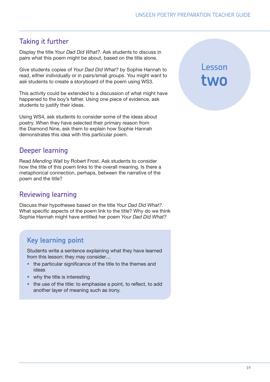#### Taking it further

Display the title *Your Dad Did What?*. Ask students to discuss in pairs what this poem might be about, based on the title alone.

Give students copies of *Your Dad Did What?* by Sophie Hannah to read, either individually or in pairs/small groups. You might want to ask students to create a storyboard of the poem using WS3.

This activity could be extended to a discussion of what might have happened to the boy's father. Using one piece of evidence, ask students to justify their ideas.

Using WS4, ask students to consider some of the ideas about poetry. When they have selected their primary reason from the Diamond Nine, ask them to explain how Sophie Hannah demonstrates this idea with this particular poem.

#### Deeper learning

Read *Mending Wall* by Robert Frost. Ask students to consider how the title of this poem links to the overall meaning. Is there a metaphorical connection, perhaps, between the narrative of the poem and the title?

#### Reviewing learning

Discuss their hypotheses based on the title *Your Dad Did What?*. What specific aspects of the poem link to the title? Why do we think Sophie Hannah might have entitled her poem *Your Dad Did What?*

# **Key learning point**

Students write a sentence explaining what they have learned from this lesson: they may consider…

- the particular significance of the title to the themes and ideas
- why the title is interesting
- the use of the title: to emphasise a point, to reflect, to add another layer of meaning such as irony.

# Lesson **two**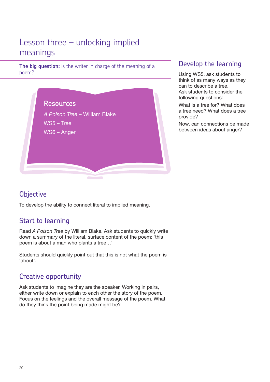# Lesson three – unlocking implied meanings

**The big question:** is the writer in charge of the meaning of a poem?



#### Develop the learning

Using WS5, ask students to think of as many ways as they can to describe a tree. Ask students to consider the following questions:

What is a tree for? What does a tree need? What does a tree provide?

Now, can connections be made between ideas about anger?

#### **Objective**

To develop the ability to connect literal to implied meaning.

# Start to learning

Read *A Poison Tree* by William Blake. Ask students to quickly write down a summary of the literal, surface content of the poem: 'this poem is about a man who plants a tree…'

Students should quickly point out that this is not what the poem is 'about'.

## Creative opportunity

Ask students to imagine they are the speaker. Working in pairs, either write down or explain to each other the story of the poem. Focus on the feelings and the overall message of the poem. What do they think the point being made might be?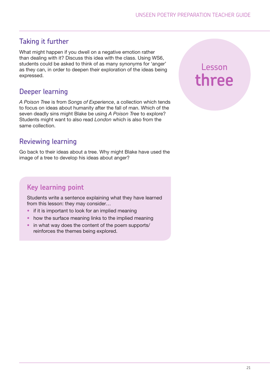# Taking it further

What might happen if you dwell on a negative emotion rather than dealing with it? Discuss this idea with the class. Using WS6, students could be asked to think of as many synonyms for 'anger' as they can, in order to deepen their exploration of the ideas being expressed.

# Deeper learning

*A Poison Tree* is from *Songs of Experience*, a collection which tends to focus on ideas about humanity after the fall of man. Which of the seven deadly sins might Blake be using *A Poison Tree* to explore? Students might want to also read *London* which is also from the same collection.

# Reviewing learning

Go back to their ideas about a tree. Why might Blake have used the image of a tree to develop his ideas about anger?

# **Key learning point**

Students write a sentence explaining what they have learned from this lesson: they may consider…

- if it is important to look for an implied meaning
- how the surface meaning links to the implied meaning
- in what way does the content of the poem supports/ reinforces the themes being explored.

# Lesson **three**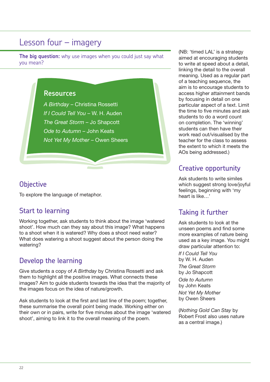# Lesson four – imagery

**The big question:** why use images when you could just say what you mean?

#### **Resources**

*A Birthday* – Christina Rossetti *If I Could Tell You* – W. H. Auden *The Great Storm* – Jo Shapcott *Ode to Autumn* – John Keats *Not Yet My Mother* – Owen Sheers

#### **Objective**

To explore the language of metaphor.

#### Start to learning

Working together, ask students to think about the image 'watered shoot'. How much can they say about this image? What happens to a shoot when it is watered? Why does a shoot need water? What does watering a shoot suggest about the person doing the watering?

#### Develop the learning

Give students a copy of *A Birthday* by Christina Rossetti and ask them to highlight all the positive images. What connects these images? Aim to guide students towards the idea that the majority of the images focus on the idea of nature/growth.

Ask students to look at the first and last line of the poem; together, these summarise the overall point being made. Working either on their own or in pairs, write for five minutes about the image 'watered shoot', aiming to link it to the overall meaning of the poem.

(NB: 'timed LAL' is a strategy aimed at encouraging students to write at speed about a detail, linking the detail to the overall meaning. Used as a regular part of a teaching sequence, the aim is to encourage students to access higher attainment bands by focusing in detail on one particular aspect of a text. Limit the time to five minutes and ask students to do a word count on completion. The 'winning' students can then have their work read out/visualised by the teacher for the class to assess the extent to which it meets the AOs being addressed.)

#### Creative opportunity

Ask students to write similes which suggest strong love/joyful feelings, beginning with 'my heart is like…'

#### Taking it further

Ask students to look at the unseen poems and find some more examples of nature being used as a key image. You might draw particular attention to:

*If I Could Tell You* by W. H. Auden *The Great Storm* by Jo Shapcott *Ode to Autumn* by John Keats *Not Yet My Mother* by Owen Sheers

(*Nothing Gold Can Stay* by Robert Frost also uses nature as a central image.)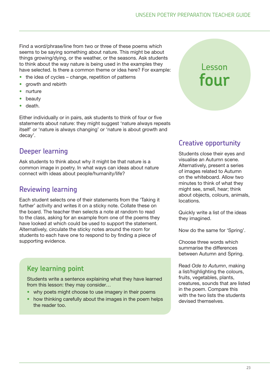Find a word/phrase/line from two or three of these poems which seems to be saying something about nature. This might be about things growing/dying, or the weather, or the seasons. Ask students to think about the way nature is being used in the examples they have selected. Is there a common theme or idea here? For example:

- the idea of cycles change, repetition of patterns
- growth and rebirth
- nurture
- beauty
- death.

Either individually or in pairs, ask students to think of four or five statements about nature: they might suggest 'nature always repeats itself' or 'nature is always changing' or 'nature is about growth and decay'.

# Deeper learning

Ask students to think about why it might be that nature is a common image in poetry. In what ways can ideas about nature connect with ideas about people/humanity/life?

# Reviewing learning

Each student selects one of their statements from the 'Taking it further' activity and writes it on a sticky note. Collate these on the board. The teacher then selects a note at random to read to the class, asking for an example from one of the poems they have looked at which could be used to support the statement. Alternatively, circulate the sticky notes around the room for students to each have one to respond to by finding a piece of supporting evidence.

# **Key learning point**

Students write a sentence explaining what they have learned from this lesson: they may consider…

- why poets might choose to use imagery in their poems
- how thinking carefully about the images in the poem helps the reader too.

# Lesson **four**

# Creative opportunity

Students close their eyes and visualise an Autumn scene. Alternatively, present a series of images related to Autumn on the whiteboard. Allow two minutes to think of what they might see, smell, hear; think about objects, colours, animals, locations.

Quickly write a list of the ideas they imagined.

Now do the same for 'Spring'.

Choose three words which summarise the differences between Autumn and Spring.

Read *Ode to Autumn*, making a list/highlighting the colours, fruits, vegetables, plants, creatures, sounds that are listed in the poem. Compare this with the two lists the students devised themselves.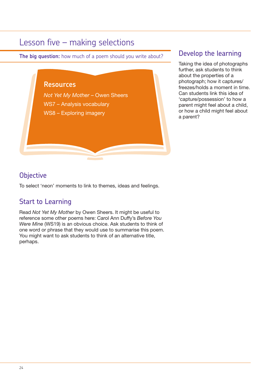# Lesson five – making selections

**The big question:** how much of a poem should you write about?

#### **Resources**

*Not Yet My Mother* – Owen Sheers WS7 – Analysis vocabulary WS8 – Exploring imagery

## Develop the learning

Taking the idea of photographs further, ask students to think about the properties of a photograph; how it captures/ freezes/holds a moment in time. Can students link this idea of 'capture/possession' to how a parent might feel about a child, or how a child might feel about a parent?

## **Objective**

To select 'neon' moments to link to themes, ideas and feelings.

## Start to Learning

Read *Not Yet My Mother* by Owen Sheers. It might be useful to reference some other poems here: Carol Ann Duffy's *Before You Were Mine* (WS19) is an obvious choice. Ask students to think of one word or phrase that they would use to summarise this poem. You might want to ask students to think of an alternative title, perhaps.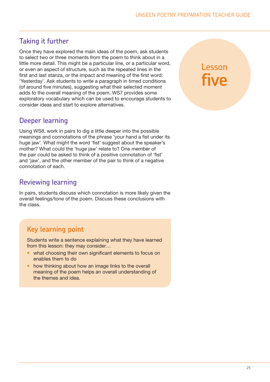## Taking it further

Once they have explored the main ideas of the poem, ask students to select two or three moments from the poem to think about in a little more detail. This might be a particular line, or a particular word, or even an aspect of structure, such as the repeated lines in the first and last stanza, or the impact and meaning of the first word: 'Yesterday'. Ask students to write a paragraph in timed conditions (of around five minutes), suggesting what their selected moment adds to the overall meaning of the poem. WS7 provides some exploratory vocabulary which can be used to encourage students to consider ideas and start to explore alternatives.

#### Deeper learning

Using WS8, work in pairs to dig a little deeper into the possible meanings and connotations of the phrase 'your hand a fist under its huge jaw'. What might the word 'fist' suggest about the speaker's mother? What could the 'huge jaw' relate to? One member of the pair could be asked to think of a positive connotation of 'fist' and 'iaw', and the other member of the pair to think of a negative connotation of each.

#### Reviewing learning

In pairs, students discuss which connotation is more likely given the overall feelings/tone of the poem. Discuss these conclusions with the class.

# **Key learning point**

Students write a sentence explaining what they have learned from this lesson: they may consider…

- what choosing their own significant elements to focus on enables them to do
- how thinking about how an image links to the overall meaning of the poem helps an overall understanding of the themes and idea.

# Lesson **five**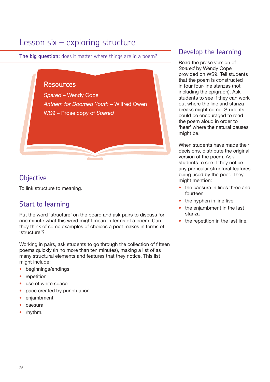# Lesson six – exploring structure

**The big question:** does it matter where things are in a poem?

#### **Resources**

*Spared* – Wendy Cope *Anthem for Doomed Youth* – Wilfred Owen WS9 – Prose copy of *Spared*

#### **Objective**

To link structure to meaning.

#### Start to learning

Put the word 'structure' on the board and ask pairs to discuss for one minute what this word might mean in terms of a poem. Can they think of some examples of choices a poet makes in terms of 'structure'?

Working in pairs, ask students to go through the collection of fifteen poems quickly (in no more than ten minutes), making a list of as many structural elements and features that they notice. This list might include:

- beginnings/endings
- **repetition**
- use of white space
- pace created by punctuation
- enjambment
- caesura
- rhythm.

#### Develop the learning

Read the prose version of *Spared* by Wendy Cope provided on WS9. Tell students that the poem is constructed in four four-line stanzas (not including the epigraph). Ask students to see if they can work out where the line and stanza breaks might come. Students could be encouraged to read the poem aloud in order to 'hear' where the natural pauses might be.

When students have made their decisions, distribute the original version of the poem. Ask students to see if they notice any particular structural features being used by the poet. They might mention:

- the caesura in lines three and fourteen
- the hyphen in line five
- the enjambment in the last stanza
- the repetition in the last line.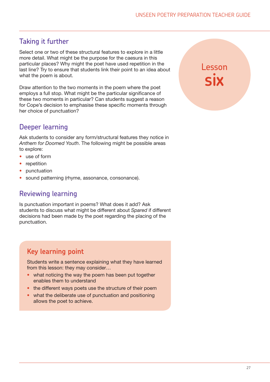# Taking it further

Select one or two of these structural features to explore in a little more detail. What might be the purpose for the caesura in this particular places? Why might the poet have used repetition in the last line? Try to ensure that students link their point to an idea about what the poem is about.

Draw attention to the two moments in the poem where the poet employs a full stop. What might be the particular significance of these two moments in particular? Can students suggest a reason for Cope's decision to emphasise these specific moments through her choice of punctuation?

# Deeper learning

Ask students to consider any form/structural features they notice in *Anthem for Doomed Youth*. The following might be possible areas to explore:

- use of form
- repetition
- punctuation
- sound patterning (rhyme, assonance, consonance).

## Reviewing learning

Is punctuation important in poems? What does it add? Ask students to discuss what might be different about *Spared* if different decisions had been made by the poet regarding the placing of the punctuation.

## **Key learning point**

Students write a sentence explaining what they have learned from this lesson: they may consider…

- what noticing the way the poem has been put together enables them to understand
- the different ways poets use the structure of their poem
- what the deliberate use of punctuation and positioning allows the poet to achieve.

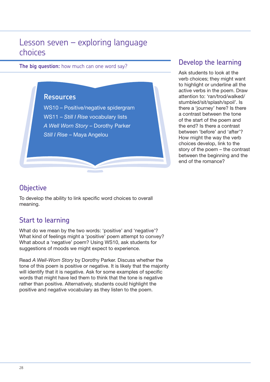# Lesson seven – exploring language choices

**The big question:** how much can one word say?



#### Develop the learning

Ask students to look at the verb choices; they might want to highlight or underline all the active verbs in the poem. Draw attention to: 'ran/trod/walked/ stumbled/sit/splash/spoil'. Is there a 'journey' here? Is there a contrast between the tone of the start of the poem and the end? Is there a contrast between 'before' and 'after'? How might the way the verb choices develop, link to the story of the poem – the contrast between the beginning and the end of the romance?

## **Objective**

To develop the ability to link specific word choices to overall meaning.

# Start to learning

What do we mean by the two words: 'positive' and 'negative'? What kind of feelings might a 'positive' poem attempt to convey? What about a 'negative' poem? Using WS10, ask students for suggestions of moods we might expect to experience.

Read *A Well-Worn Story* by Dorothy Parker. Discuss whether the tone of this poem is positive or negative. It is likely that the majority will identify that it is negative. Ask for some examples of specific words that might have led them to think that the tone is negative rather than positive. Alternatively, students could highlight the positive and negative vocabulary as they listen to the poem.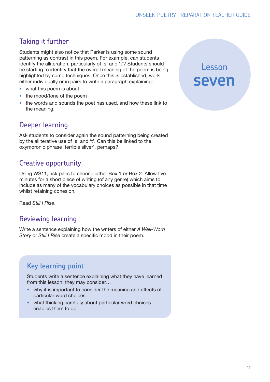# Taking it further

Students might also notice that Parker is using some sound patterning as contrast in this poem. For example, can students identify the alliteration, particularly of 's' and 't'? Students should be starting to identify that the overall meaning of the poem is being highlighted by some techniques. Once this is established, work either individually or in pairs to write a paragraph explaining:

- what this poem is about
- the mood/tone of the poem
- the words and sounds the poet has used, and how these link to the meaning.

# Deeper learning

Ask students to consider again the sound patterning being created by the alliterative use of 's' and 't'. Can this be linked to the oxymoronic phrase 'terrible silver', perhaps?

# Creative opportunity

Using WS11, ask pairs to choose either Box 1 or Box 2. Allow five minutes for a short piece of writing (of any genre) which aims to include as many of the vocabulary choices as possible in that time whilst retaining cohesion.

Read *Still I Rise*.

# Reviewing learning

Write a sentence explaining how the writers of either *A Well-Worn Story* or *Still I Rise* create a specific mood in their poem.

# **Key learning point**

Students write a sentence explaining what they have learned from this lesson: they may consider…

- why it is important to consider the meaning and effects of particular word choices
- what thinking carefully about particular word choices enables them to do.

# Lesson **seven**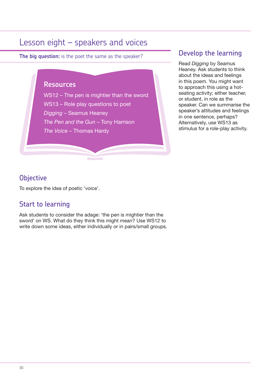# Lesson eight – speakers and voices

**The big question:** is the poet the same as the speaker?

#### **Resources**

WS12 – The pen is mightier than the sword WS13 – Role play questions to poet *Digging* – Seamus Heaney *The Pen and the Gun - Tony Harrison The Voice* – Thomas Hardy

## Develop the learning

Read *Digging* by Seamus Heaney. Ask students to think about the ideas and feelings in this poem. You might want to approach this using a hotseating activity; either teacher, or student, in role as the speaker. Can we summarise the speaker's attitudes and feelings in one sentence, perhaps? Alternatively, use WS13 as stimulus for a role-play activity.

#### **Objective**

To explore the idea of poetic 'voice'.

# Start to learning

Ask students to consider the adage: 'the pen is mightier than the sword' on WS. What do they think this might mean? Use WS12 to write down some ideas, either individually or in pairs/small groups.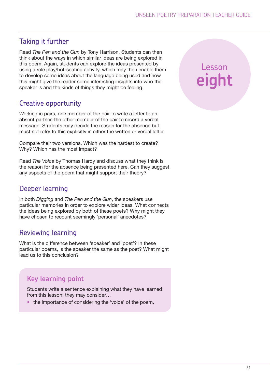## Taking it further

Read *The Pen and the Gun* by Tony Harrison. Students can then think about the ways in which similar ideas are being explored in this poem. Again, students can explore the ideas presented by using a role play/hot-seating activity, which may then enable them to develop some ideas about the language being used and how this might give the reader some interesting insights into who the speaker is and the kinds of things they might be feeling.

## Creative opportunity

Working in pairs, one member of the pair to write a letter to an absent partner, the other member of the pair to record a verbal message. Students may decide the reason for the absence but must not refer to this explicitly in either the written or verbal letter.

Compare their two versions. Which was the hardest to create? Why? Which has the most impact?

Read *The Voice* by Thomas Hardy and discuss what they think is the reason for the absence being presented here. Can they suggest any aspects of the poem that might support their theory?

#### Deeper learning

In both *Digging* and *The Pen and the Gun*, the speakers use particular memories in order to explore wider ideas. What connects the ideas being explored by both of these poets? Why might they have chosen to recount seemingly 'personal' anecdotes?

#### Reviewing learning

What is the difference between 'speaker' and 'poet'? In these particular poems, is the speaker the same as the poet? What might lead us to this conclusion?

## **Key learning point**

Students write a sentence explaining what they have learned from this lesson: they may consider…

• the importance of considering the 'voice' of the poem.

# Lesson **eight**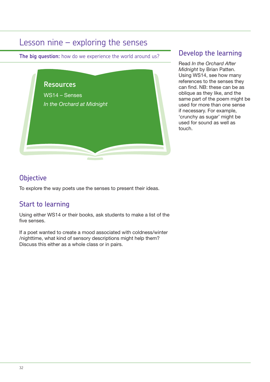# Lesson nine – exploring the senses

The big question: how do we experience the world around us?



#### Develop the learning

Read *In the Orchard After Midnight* by Brian Patten. Using WS14, see how many references to the senses they can find. NB: these can be as oblique as they like, and the same part of the poem might be used for more than one sense if necessary. For example, 'crunchy as sugar' might be used for sound as well as touch.

#### **Objective**

To explore the way poets use the senses to present their ideas.

# Start to learning

Using either WS14 or their books, ask students to make a list of the five senses.

If a poet wanted to create a mood associated with coldness/winter /nighttime, what kind of sensory descriptions might help them? Discuss this either as a whole class or in pairs.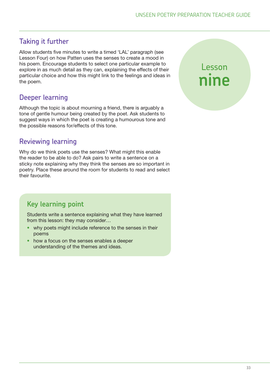## Taking it further

Allow students five minutes to write a timed 'LAL' paragraph (see Lesson Four) on how Patten uses the senses to create a mood in his poem. Encourage students to select one particular example to explore in as much detail as they can, explaining the effects of their particular choice and how this might link to the feelings and ideas in the poem.

## Deeper learning

Although the topic is about mourning a friend, there is arguably a tone of gentle humour being created by the poet. Ask students to suggest ways in which the poet is creating a humourous tone and the possible reasons for/effects of this tone.

#### Reviewing learning

Why do we think poets use the senses? What might this enable the reader to be able to do? Ask pairs to write a sentence on a sticky note explaining why they think the senses are so important in poetry. Place these around the room for students to read and select their favourite.

## **Key learning point**

Students write a sentence explaining what they have learned from this lesson: they may consider…

- why poets might include reference to the senses in their poems
- how a focus on the senses enables a deeper understanding of the themes and ideas.

# Lesson **nine**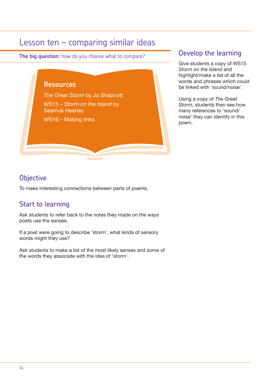# Lesson ten – comparing similar ideas

**The big question:** how do you choose what to compare?

#### **Resources**

*The Great Storm* by Jo Shapcott WS15 – *Storm on the Island* by Seamus Heaney WS16 – Making links

## Develop the learning

Give students a copy of WS15 *Storm on the Island* and highlight/make a list of all the words and phrases which could be linked with 'sound/noise'.

Using a copy of *The Great Storm,* students then see how many references to 'sound/ noise' they can identify in this poem.

#### **Objective**

To make interesting connections between parts of poems.

## Start to learning

Ask students to refer back to the notes they made on the ways poets use the senses.

If a poet were going to describe 'storm', what kinds of sensory words might they use?

Ask students to make a list of the most likely senses and some of the words they associate with the idea of 'storm'.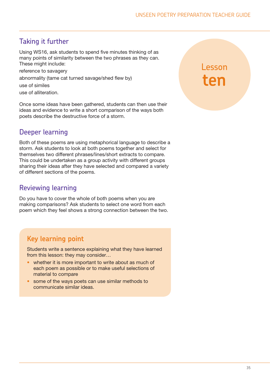#### Taking it further

Using WS16, ask students to spend five minutes thinking of as many points of similarity between the two phrases as they can. These might include:

reference to savagery abnormality (tame cat turned savage/shed flew by) use of similes use of alliteration.

Once some ideas have been gathered, students can then use their ideas and evidence to write a short comparison of the ways both poets describe the destructive force of a storm.

#### Deeper learning

Both of these poems are using metaphorical language to describe a storm. Ask students to look at both poems together and select for themselves two different phrases/lines/short extracts to compare. This could be undertaken as a group activity with different groups sharing their ideas after they have selected and compared a variety of different sections of the poems.

#### Reviewing learning

Do you have to cover the whole of both poems when you are making comparisons? Ask students to select one word from each poem which they feel shows a strong connection between the two.

# **Key learning point**

Students write a sentence explaining what they have learned from this lesson: they may consider…

- whether it is more important to write about as much of each poem as possible or to make useful selections of material to compare
- some of the ways poets can use similar methods to communicate similar ideas.

# Lesson **ten**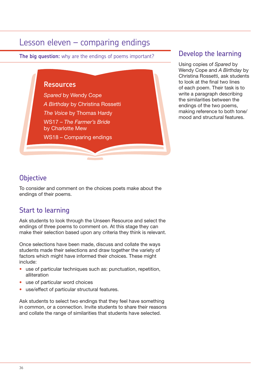# Lesson eleven – comparing endings

**The big question:** why are the endings of poems important?

#### **Resources**

*Spared* by Wendy Cope *A Birthday* by Christina Rossetti *The Voice* by Thomas Hardy WS17 – *The Farmer's Bride* by Charlotte Mew

WS18 – Comparing endings

#### Develop the learning

Using copies of *Spared* by Wendy Cope and *A Birthday* by Christina Rossetti, ask students to look at the final two lines of each poem. Their task is to write a paragraph describing the similarities between the endings of the two poems, making reference to both tone/ mood and structural features.

#### **Objective**

To consider and comment on the choices poets make about the endings of their poems.

#### Start to learning

Ask students to look through the Unseen Resource and select the endings of three poems to comment on. At this stage they can make their selection based upon any criteria they think is relevant.

Once selections have been made, discuss and collate the ways students made their selections and draw together the variety of factors which might have informed their choices. These might include:

- use of particular techniques such as: punctuation, repetition, alliteration
- use of particular word choices
- use/effect of particular structural features.

Ask students to select two endings that they feel have something in common, or a connection. Invite students to share their reasons and collate the range of similarities that students have selected.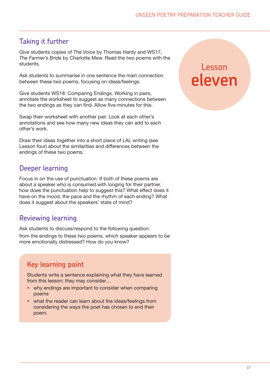#### Taking it further

Give students copies of *The Voice* by Thomas Hardy and WS17, *The Farmer's Bride* by Charlotte Mew. Read the two poems with the students.

Ask students to summarise in one sentence the main connection between these two poems, focusing on ideas/feelings.

Give students WS18: Comparing Endings. Working in pairs, annotate the worksheet to suggest as many connections between the two endings as they can find. Allow five minutes for this.

Swap their worksheet with another pair. Look at each other's annotations and see how many new ideas they can add to each other's work.

Draw their ideas together into a short piece of LAL writing (see Lesson four) about the similarities and differences between the endings of these two poems.

## Deeper learning

Focus in on the use of punctuation. If both of these poems are about a speaker who is consumed with longing for their partner, how does the punctuation help to suggest this? What effect does it have on the mood, the pace and the rhythm of each ending? What does it suggest about the speakers' state of mind?

#### Reviewing learning

Ask students to discuss/respond to the following question:

from the endings to these two poems, which speaker appears to be more emotionally distressed? How do you know?

# **Key learning point**

Students write a sentence explaining what they have learned from this lesson: they may consider…

- why endings are important to consider when comparing poems
- what the reader can learn about the ideas/feelings from considering the ways the poet has chosen to end their poem.

# Lesson **eleven**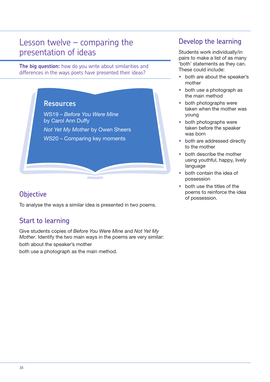# Lesson twelve – comparing the presentation of ideas

**The big question:** how do you write about similarities and differences in the ways poets have presented their ideas?



# **Objective**

To analyse the ways a similar idea is presented in two poems.

# Start to learning

Give students copies of *Before You Were Mine* and *Not Yet My Mother*. Identify the two main ways in the poems are very similar: both about the speaker's mother

both use a photograph as the main method.

# Develop the learning

Students work individually/in pairs to make a list of as many 'both' statements as they can. These could include:

- both are about the speaker's mother
- both use a photograph as the main method
- both photographs were taken when the mother was young
- both photographs were taken before the speaker was born
- both are addressed directly to the mother
- both describe the mother using youthful, happy, lively language
- both contain the idea of possession
- both use the titles of the poems to reinforce the idea of possession.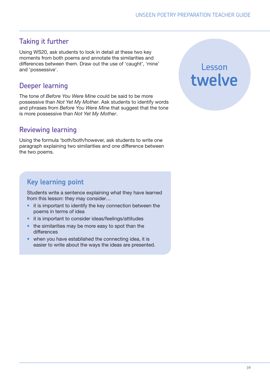#### Taking it further

Using WS20, ask students to look in detail at these two key moments from both poems and annotate the similarities and differences between them. Draw out the use of 'caught', 'mine' and 'possessive'.

#### Deeper learning

The tone of *Before You Were Mine* could be said to be more possessive than *Not Yet My Mother*. Ask students to identify words and phrases from *Before You Were Mine* that suggest that the tone is more possessive than *Not Yet My Mother*.

#### Reviewing learning

Using the formula 'both/both/however, ask students to write one paragraph explaining two similarities and one difference between the two poems.

#### **Key learning point**

Students write a sentence explaining what they have learned from this lesson: they may consider…

- it is important to identify the key connection between the poems in terms of idea
- it is important to consider ideas/feelings/attitudes
- the similarities may be more easy to spot than the differences
- when you have established the connecting idea, it is easier to write about the ways the ideas are presented.

# Lesson **twelve**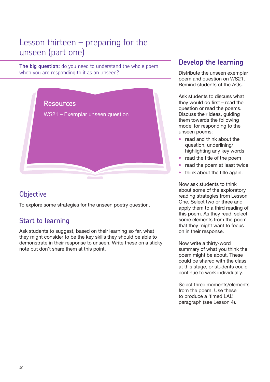# Lesson thirteen – preparing for the unseen (part one)

**The big question:** do you need to understand the whole poem when you are responding to it as an unseen?



## **Objective**

To explore some strategies for the unseen poetry question.

# Start to learning

Ask students to suggest, based on their learning so far, what they might consider to be the key skills they should be able to demonstrate in their response to unseen. Write these on a sticky note but don't share them at this point.

#### **Develop the learning**

Distribute the unseen exemplar poem and question on WS21. Remind students of the AOs.

Ask students to discuss what they would do first – read the question or read the poems. Discuss their ideas, guiding them towards the following model for responding to the unseen poems:

- read and think about the question, underlining/ highlighting any key words
- read the title of the poem
- read the poem at least twice
- think about the title again.

Now ask students to think about some of the exploratory reading strategies from Lesson One. Select two or three and apply them to a third reading of this poem. As they read, select some elements from the poem that they might want to focus on in their response.

Now write a thirty-word summary of what you think the poem might be about. These could be shared with the class at this stage, or students could continue to work individually.

Select three moments/elements from the poem. Use these to produce a 'timed LAL' paragraph (see Lesson 4).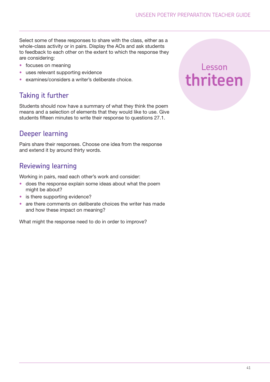Select some of these responses to share with the class, either as a whole-class activity or in pairs. Display the AOs and ask students to feedback to each other on the extent to which the response they are considering:

- focuses on meaning
- uses relevant supporting evidence
- examines/considers a writer's deliberate choice.

## Taking it further

Students should now have a summary of what they think the poem means and a selection of elements that they would like to use. Give students fifteen minutes to write their response to questions 27.1.

## Deeper learning

Pairs share their responses. Choose one idea from the response and extend it by around thirty words.

## Reviewing learning

Working in pairs, read each other's work and consider:

- does the response explain some ideas about what the poem might be about?
- is there supporting evidence?
- are there comments on deliberate choices the writer has made and how these impact on meaning?

What might the response need to do in order to improve?

# Lesson **thriteen**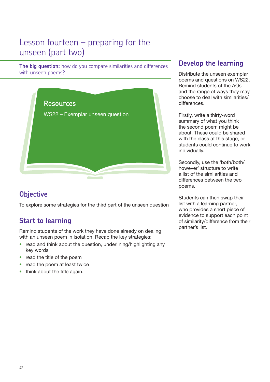# Lesson fourteen – preparing for the unseen (part two)

**The big question:** how do you compare similarities and differences with unseen poems?



## **Objective**

To explore some strategies for the third part of the unseen question

# **Start to learning**

Remind students of the work they have done already on dealing with an unseen poem in isolation. Recap the key strategies:

- read and think about the question, underlining/highlighting any key words
- read the title of the poem
- read the poem at least twice
- think about the title again.

#### **Develop the learning**

Distribute the unseen exemplar poems and questions on WS22. Remind students of the AOs and the range of ways they may choose to deal with similarities/ differences.

Firstly, write a thirty-word summary of what you think the second poem might be about. These could be shared with the class at this stage, or students could continue to work individually.

Secondly, use the 'both/both/ however' structure to write a list of the similarities and differences between the two poems.

Students can then swap their list with a learning partner, who provides a short piece of evidence to support each point of similarity/difference from their partner's list.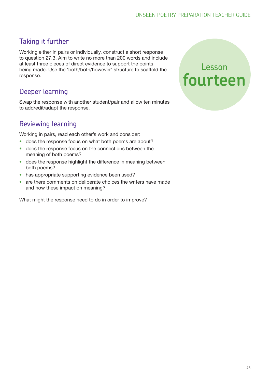# Taking it further

Working either in pairs or individually, construct a short response to question 27.3. Aim to write no more than 200 words and include at least three pieces of direct evidence to support the points being made. Use the 'both/both/however' structure to scaffold the response.

# Deeper learning

Swap the response with another student/pair and allow ten minutes to add/edit/adapt the response.

# Reviewing learning

Working in pairs, read each other's work and consider:

- does the response focus on what both poems are about?
- does the response focus on the connections between the meaning of both poems?
- does the response highlight the difference in meaning between both poems?
- has appropriate supporting evidence been used?
- are there comments on deliberate choices the writers have made and how these impact on meaning?

What might the response need to do in order to improve?

# **Lesson fourteen**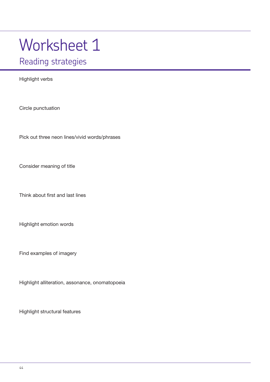# Reading strategies

Highlight verbs

Circle punctuation

Pick out three neon lines/vivid words/phrases

Consider meaning of title

Think about first and last lines

Highlight emotion words

Find examples of imagery

Highlight alliteration, assonance, onomatopoeia

Highlight structural features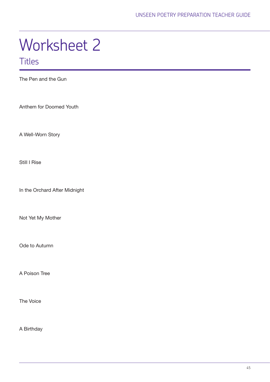# **Titles**

The Pen and the Gun

Anthem for Doomed Youth

A Well-Worn Story

Still I Rise

In the Orchard After Midnight

Not Yet My Mother

Ode to Autumn

A Poison Tree

The Voice

A Birthday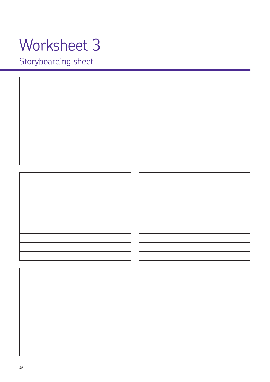Storyboarding sheet

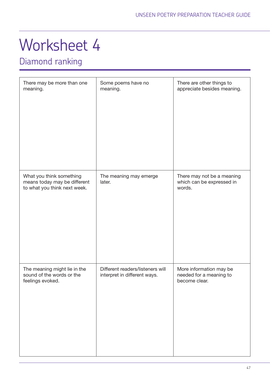# Diamond ranking

| There may be more than one<br>meaning.                                                   | Some poems have no<br>meaning.                                   | There are other things to<br>appreciate besides meaning.            |
|------------------------------------------------------------------------------------------|------------------------------------------------------------------|---------------------------------------------------------------------|
| What you think something<br>means today may be different<br>to what you think next week. | The meaning may emerge<br>later.                                 | There may not be a meaning<br>which can be expressed in<br>words.   |
| The meaning might lie in the<br>sound of the words or the<br>feelings evoked.            | Different readers/listeners will<br>interpret in different ways. | More information may be<br>needed for a meaning to<br>become clear. |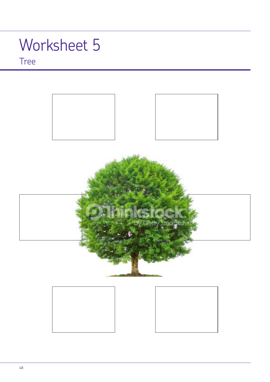Tree

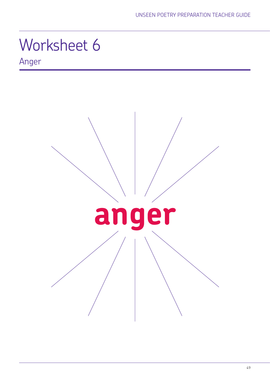Anger

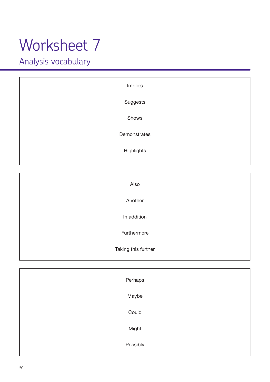Analysis vocabulary

Implies **Suggests** Shows **Demonstrates Highlights** 

Also

Another

In addition

Furthermore

Taking this further

| Perhaps  |  |
|----------|--|
| Maybe    |  |
| Could    |  |
| Might    |  |
| Possibly |  |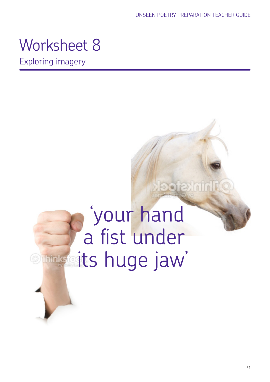**Film** 

# Worksheet 8

Exploring imagery

# 'your hand a fist under **its huge jaw'**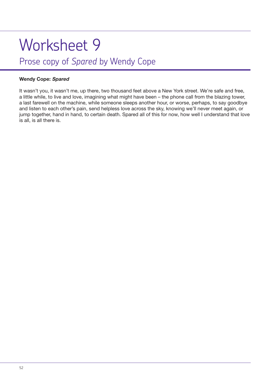# Worksheet 9 Prose copy of *Spared* by Wendy Cope

#### Wendy Cope: Spared

It wasn't you, it wasn't me, up there, two thousand feet above a New York street. We're safe and free, a little while, to live and love, imagining what might have been – the phone call from the blazing tower, a last farewell on the machine, while someone sleeps another hour, or worse, perhaps, to say goodbye and listen to each other's pain, send helpless love across the sky, knowing we'll never meet again, or jump together, hand in hand, to certain death. Spared all of this for now, how well I understand that love is all, is all there is.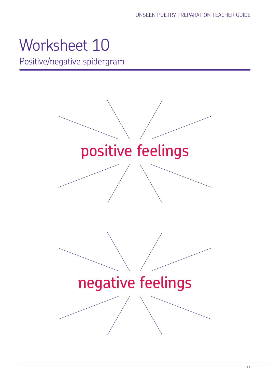Positive/negative spidergram

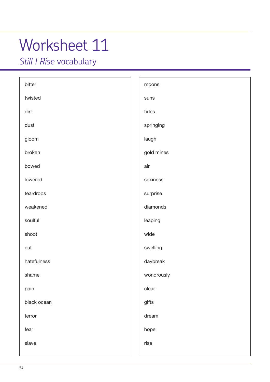*Still I Rise* vocabulary

| bitter      | moons      |
|-------------|------------|
| twisted     | suns       |
| dirt        | tides      |
| dust        | springing  |
| gloom       | laugh      |
| broken      | gold mines |
| bowed       | air        |
| lowered     | sexiness   |
| teardrops   | surprise   |
| weakened    | diamonds   |
| soulful     | leaping    |
| shoot       | wide       |
| cut         | swelling   |
| hatefulness | daybreak   |
| shame       | wondrously |
| pain        | clear      |
| black ocean | gifts      |
| terror      | dream      |
| fear        | hope       |
| slave       | rise       |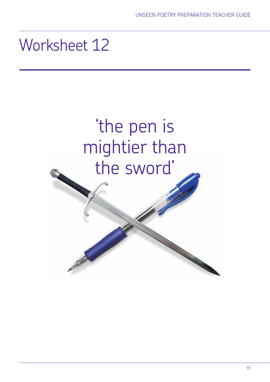# 'the pen is mightier than the sword'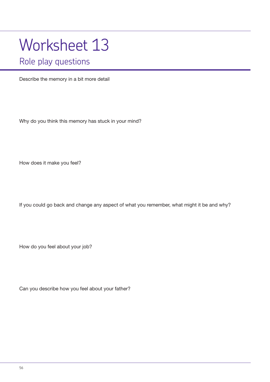Role play questions

Describe the memory in a bit more detail

Why do you think this memory has stuck in your mind?

How does it make you feel?

If you could go back and change any aspect of what you remember, what might it be and why?

How do you feel about your job?

Can you describe how you feel about your father?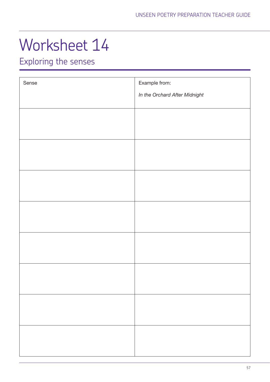# Exploring the senses

| Sense | Example from:                 |
|-------|-------------------------------|
|       | In the Orchard After Midnight |
|       |                               |
|       |                               |
|       |                               |
|       |                               |
|       |                               |
|       |                               |
|       |                               |
|       |                               |
|       |                               |
|       |                               |
|       |                               |
|       |                               |
|       |                               |
|       |                               |
|       |                               |
|       |                               |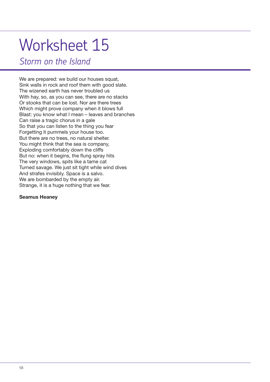*Storm on the Island*

We are prepared: we build our houses squat, Sink walls in rock and roof them with good slate. The wizened earth has never troubled us With hay, so, as you can see, there are no stacks Or stooks that can be lost. Nor are there trees Which might prove company when it blows full Blast: you know what I mean – leaves and branches Can raise a tragic chorus in a gale So that you can listen to the thing you fear Forgetting it pummels your house too. But there are no trees, no natural shelter. You might think that the sea is company, Exploding comfortably down the cliffs But no: when it begins, the flung spray hits The very windows, spits like a tame cat Turned savage. We just sit tight while wind dives And strafes invisibly. Space is a salvo. We are bombarded by the empty air. Strange, it is a huge nothing that we fear.

#### Seamus Heaney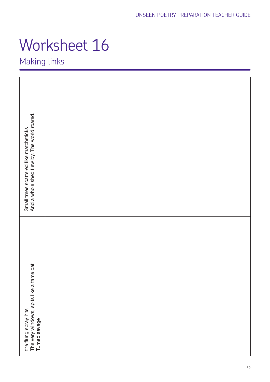Making links

| Small trees scattered like matchsticks<br>And a whole shed flew by. The world roared. |  |
|---------------------------------------------------------------------------------------|--|
|                                                                                       |  |
| the flung spray hits<br>The very windows, spits like a tame cat<br>Turned savage      |  |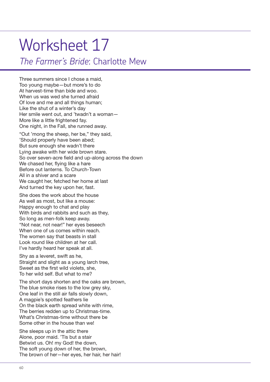# *The Farmer's Bride*: Charlotte Mew

Three summers since I chose a maid, Too young maybe—but more's to do At harvest-time than bide and woo. When us was wed she turned afraid Of love and me and all things human; Like the shut of a winter's day Her smile went out, and 'twadn't a woman— More like a little frightened fay. One night, in the Fall, she runned away.

"Out 'mong the sheep, her be," they said, 'Should properly have been abed; But sure enough she wadn't there Lying awake with her wide brown stare. So over seven-acre field and up-along across the down We chased her, flying like a hare Before out lanterns. To Church-Town All in a shiver and a scare We caught her, fetched her home at last And turned the key upon her, fast.

She does the work about the house As well as most, but like a mouse: Happy enough to chat and play With birds and rabbits and such as they, So long as men-folk keep away. "Not near, not near!" her eyes beseech When one of us comes within reach. The women say that beasts in stall Look round like children at her call. I've hardly heard her speak at all.

Shy as a leveret, swift as he, Straight and slight as a young larch tree, Sweet as the first wild violets, she, To her wild self. But what to me?

The short days shorten and the oaks are brown, The blue smoke rises to the low grey sky, One leaf in the still air falls slowly down, A magpie's spotted feathers lie On the black earth spread white with rime, The berries redden up to Christmas-time. What's Christmas-time without there be Some other in the house than we!

She sleeps up in the attic there Alone, poor maid. 'Tis but a stair Betwixt us. Oh! my God! the down, The soft young down of her, the brown, The brown of her—her eyes, her hair, her hair!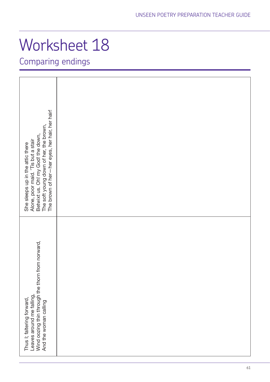# Comparing endings

| The brown of her-her eyes, her hair, her hair!<br>The soft young down of her, the brown,<br>Betwixt us. Oh! my God! the down,<br>Alone, poor maid. 'Tis but a stair<br>She sleeps up in the attic there |  |
|---------------------------------------------------------------------------------------------------------------------------------------------------------------------------------------------------------|--|
|                                                                                                                                                                                                         |  |
|                                                                                                                                                                                                         |  |
|                                                                                                                                                                                                         |  |
|                                                                                                                                                                                                         |  |
|                                                                                                                                                                                                         |  |
|                                                                                                                                                                                                         |  |
|                                                                                                                                                                                                         |  |
|                                                                                                                                                                                                         |  |
|                                                                                                                                                                                                         |  |
|                                                                                                                                                                                                         |  |
|                                                                                                                                                                                                         |  |
|                                                                                                                                                                                                         |  |
|                                                                                                                                                                                                         |  |
|                                                                                                                                                                                                         |  |
| Wind oozing thin through the thorn from norward,<br>Leaves around me falling,<br>Thus I; faltering forward,<br>And the woman calling                                                                    |  |
|                                                                                                                                                                                                         |  |
|                                                                                                                                                                                                         |  |
|                                                                                                                                                                                                         |  |
|                                                                                                                                                                                                         |  |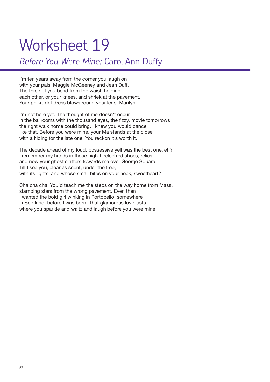# *Before You Were Mine:* Carol Ann Duffy

I'm ten years away from the corner you laugh on with your pals, Maggie McGeeney and Jean Duff. The three of you bend from the waist, holding each other, or your knees, and shriek at the pavement. Your polka-dot dress blows round your legs. Marilyn.

I'm not here yet. The thought of me doesn't occur in the ballrooms with the thousand eyes, the fizzy, movie tomorrows the right walk home could bring. I knew you would dance like that. Before you were mine, your Ma stands at the close with a hiding for the late one. You reckon it's worth it.

The decade ahead of my loud, possessive yell was the best one, eh? I remember my hands in those high-heeled red shoes, relics, and now your ghost clatters towards me over George Square Till I see you, clear as scent, under the tree, with its lights, and whose small bites on your neck, sweetheart?

Cha cha cha! You'd teach me the steps on the way home from Mass, stamping stars from the wrong pavement. Even then I wanted the bold girl winking in Portobello, somewhere in Scotland, before I was born. That glamorous love lasts where you sparkle and waltz and laugh before you were mine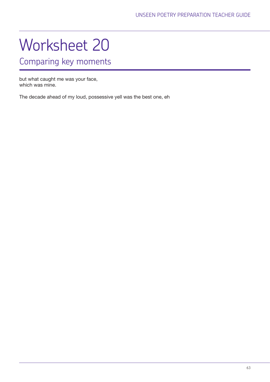Comparing key moments

but what caught me was your face, which was mine.

The decade ahead of my loud, possessive yell was the best one, eh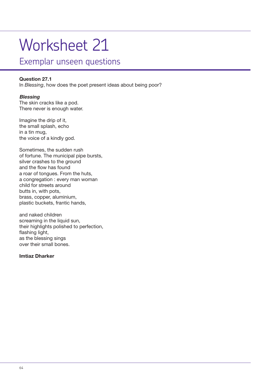# Exemplar unseen questions

#### Question 27.1

In *Blessing*, how does the poet present ideas about being poor?

#### **Blessing**

The skin cracks like a pod. There never is enough water.

Imagine the drip of it, the small splash, echo in a tin mug, the voice of a kindly god.

Sometimes, the sudden rush of fortune. The municipal pipe bursts, silver crashes to the ground and the flow has found a roar of tongues. From the huts, a congregation : every man woman child for streets around butts in, with pots, brass, copper, aluminium, plastic buckets, frantic hands,

and naked children screaming in the liquid sun, their highlights polished to perfection, flashing light, as the blessing sings over their small bones.

#### Imtiaz Dharker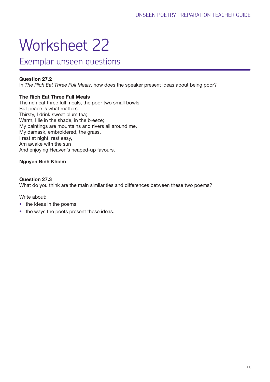# Exemplar unseen questions

#### Question 27.2

In *The Rich Eat Three Full Meals*, how does the speaker present ideas about being poor?

#### The Rich Eat Three Full Meals

The rich eat three full meals, the poor two small bowls But peace is what matters. Thirsty, I drink sweet plum tea; Warm, I lie in the shade, in the breeze; My paintings are mountains and rivers all around me, My damask, embroidered, the grass. I rest at night, rest easy, Am awake with the sun And enjoying Heaven's heaped-up favours.

#### Nguyen Binh Khiem

#### Question 27.3

What do you think are the main similarities and differences between these two poems?

Write about:

- the ideas in the poems
- the ways the poets present these ideas.